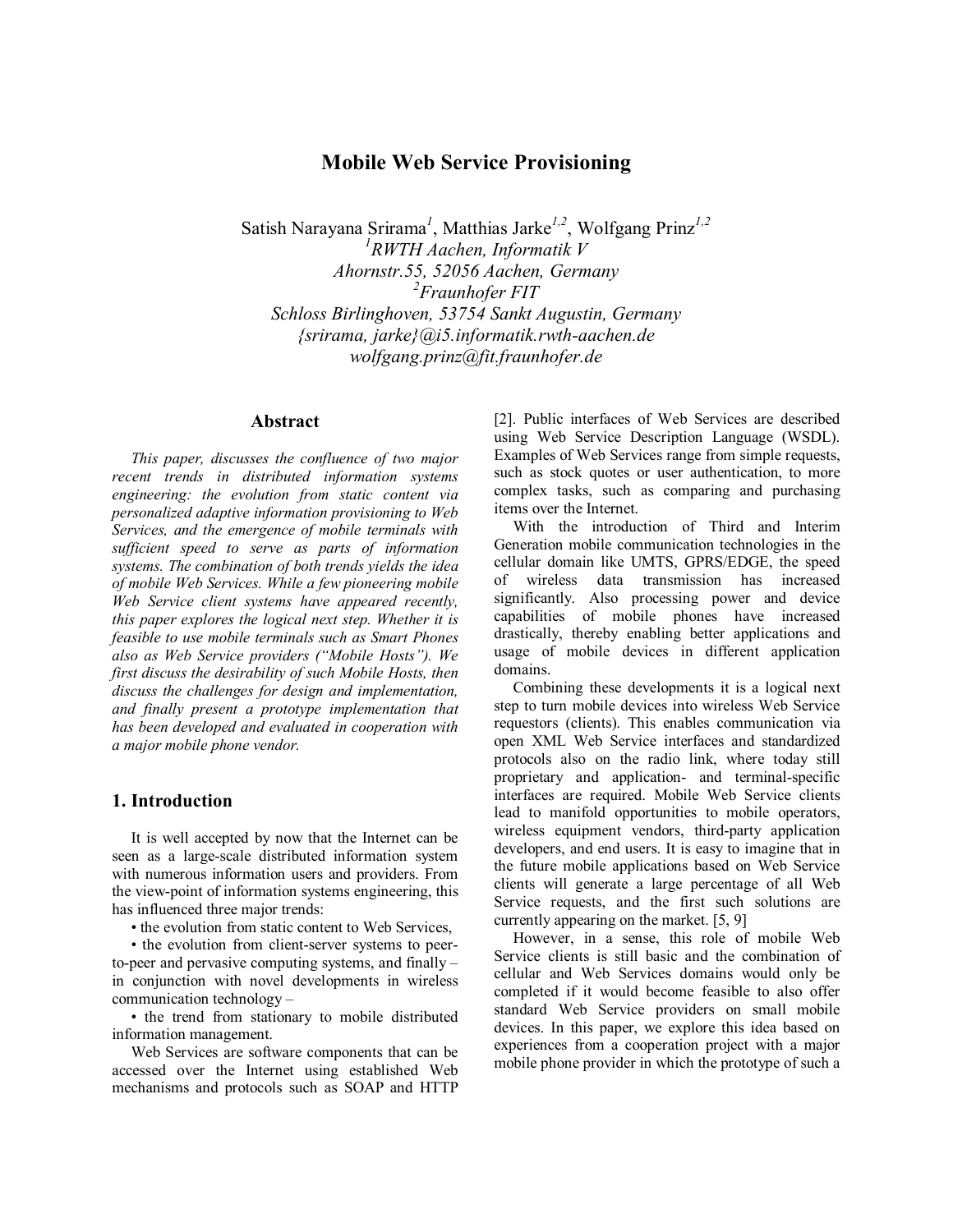# **Mobile Web Service Provisioning**

Satish Narayana Srirama*<sup>1</sup>* , Matthias Jarke*1,2*, Wolfgang Prinz*1,2 1 RWTH Aachen, Informatik V Ahornstr.55, 52056 Aachen, Germany 2 Fraunhofer FIT Schloss Birlinghoven, 53754 Sankt Augustin, Germany {srirama, jarke}@i5.informatik.rwth-aachen.de wolfgang.prinz@fit.fraunhofer.de* 

#### **Abstract**

*This paper, discusses the confluence of two major recent trends in distributed information systems engineering: the evolution from static content via personalized adaptive information provisioning to Web Services, and the emergence of mobile terminals with sufficient speed to serve as parts of information systems. The combination of both trends yields the idea of mobile Web Services. While a few pioneering mobile Web Service client systems have appeared recently, this paper explores the logical next step. Whether it is feasible to use mobile terminals such as Smart Phones also as Web Service providers ("Mobile Hosts"). We first discuss the desirability of such Mobile Hosts, then discuss the challenges for design and implementation, and finally present a prototype implementation that has been developed and evaluated in cooperation with a major mobile phone vendor.* 

### **1. Introduction**

It is well accepted by now that the Internet can be seen as a large-scale distributed information system with numerous information users and providers. From the view-point of information systems engineering, this has influenced three major trends:

• the evolution from static content to Web Services,

• the evolution from client-server systems to peerto-peer and pervasive computing systems, and finally – in conjunction with novel developments in wireless communication technology –

• the trend from stationary to mobile distributed information management.

Web Services are software components that can be accessed over the Internet using established Web mechanisms and protocols such as SOAP and HTTP

[2]. Public interfaces of Web Services are described using Web Service Description Language (WSDL). Examples of Web Services range from simple requests, such as stock quotes or user authentication, to more complex tasks, such as comparing and purchasing items over the Internet.

With the introduction of Third and Interim Generation mobile communication technologies in the cellular domain like UMTS, GPRS/EDGE, the speed of wireless data transmission has increased significantly. Also processing power and device capabilities of mobile phones have increased drastically, thereby enabling better applications and usage of mobile devices in different application domains.

Combining these developments it is a logical next step to turn mobile devices into wireless Web Service requestors (clients). This enables communication via open XML Web Service interfaces and standardized protocols also on the radio link, where today still proprietary and application- and terminal-specific interfaces are required. Mobile Web Service clients lead to manifold opportunities to mobile operators, wireless equipment vendors, third-party application developers, and end users. It is easy to imagine that in the future mobile applications based on Web Service clients will generate a large percentage of all Web Service requests, and the first such solutions are currently appearing on the market. [5, 9]

However, in a sense, this role of mobile Web Service clients is still basic and the combination of cellular and Web Services domains would only be completed if it would become feasible to also offer standard Web Service providers on small mobile devices. In this paper, we explore this idea based on experiences from a cooperation project with a major mobile phone provider in which the prototype of such a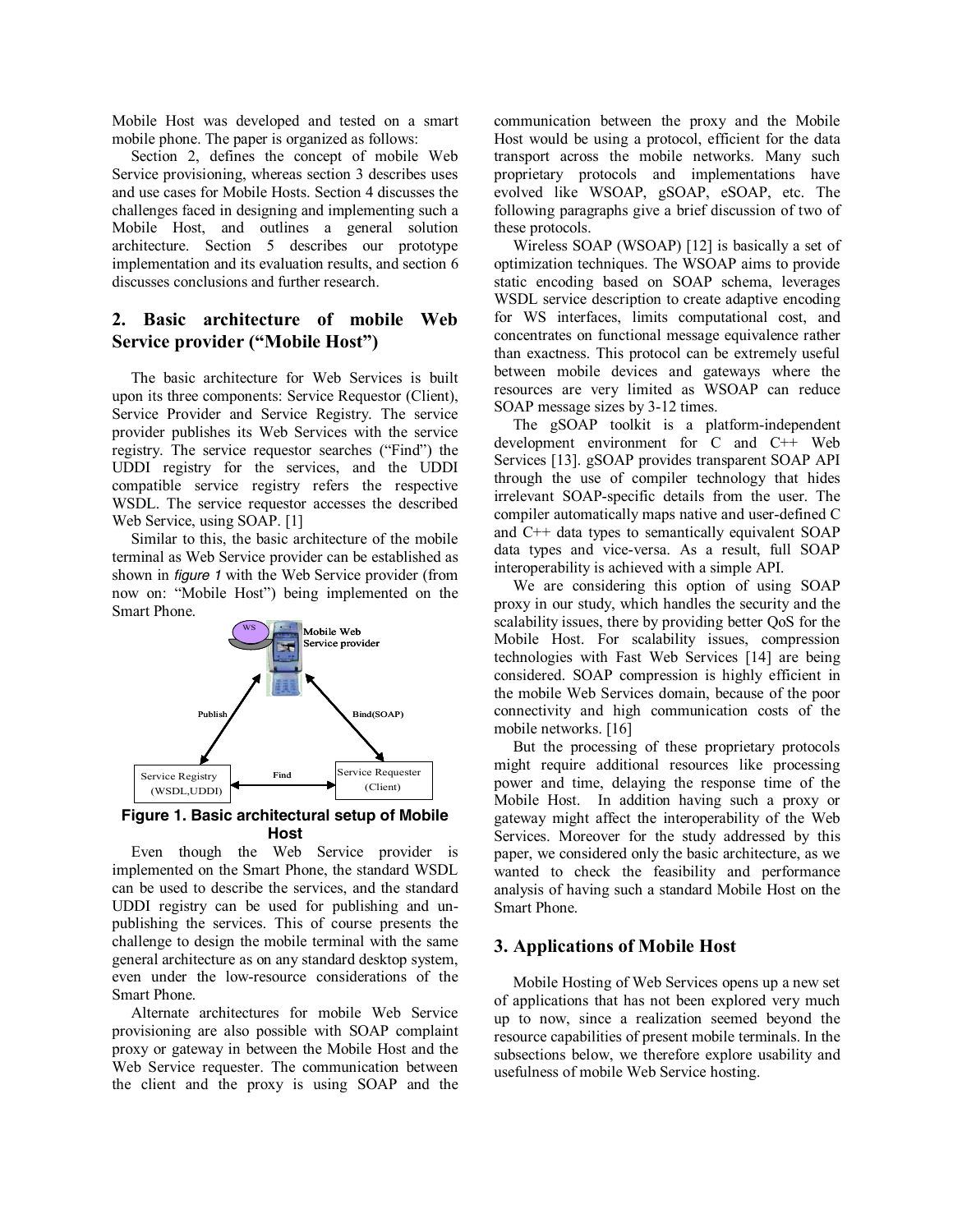Mobile Host was developed and tested on a smart mobile phone. The paper is organized as follows:

Section 2, defines the concept of mobile Web Service provisioning, whereas section 3 describes uses and use cases for Mobile Hosts. Section 4 discusses the challenges faced in designing and implementing such a Mobile Host, and outlines a general solution architecture. Section 5 describes our prototype implementation and its evaluation results, and section 6 discusses conclusions and further research.

# **2. Basic architecture of mobile Web Service provider ("Mobile Host")**

The basic architecture for Web Services is built upon its three components: Service Requestor (Client), Service Provider and Service Registry. The service provider publishes its Web Services with the service registry. The service requestor searches ("Find") the UDDI registry for the services, and the UDDI compatible service registry refers the respective WSDL. The service requestor accesses the described Web Service, using SOAP. [1]

Similar to this, the basic architecture of the mobile terminal as Web Service provider can be established as shown in *figure 1* with the Web Service provider (from now on: "Mobile Host") being implemented on the Smart Phone.



**Figure 1. Basic architectural setup of Mobile Host** 

Even though the Web Service provider is implemented on the Smart Phone, the standard WSDL can be used to describe the services, and the standard UDDI registry can be used for publishing and unpublishing the services. This of course presents the challenge to design the mobile terminal with the same general architecture as on any standard desktop system, even under the low-resource considerations of the Smart Phone.

Alternate architectures for mobile Web Service provisioning are also possible with SOAP complaint proxy or gateway in between the Mobile Host and the Web Service requester. The communication between the client and the proxy is using SOAP and the communication between the proxy and the Mobile Host would be using a protocol, efficient for the data transport across the mobile networks. Many such proprietary protocols and implementations have evolved like WSOAP, gSOAP, eSOAP, etc. The following paragraphs give a brief discussion of two of these protocols.

Wireless SOAP (WSOAP) [12] is basically a set of optimization techniques. The WSOAP aims to provide static encoding based on SOAP schema, leverages WSDL service description to create adaptive encoding for WS interfaces, limits computational cost, and concentrates on functional message equivalence rather than exactness. This protocol can be extremely useful between mobile devices and gateways where the resources are very limited as WSOAP can reduce SOAP message sizes by 3-12 times.

The gSOAP toolkit is a platform-independent development environment for C and C++ Web Services [13]. gSOAP provides transparent SOAP API through the use of compiler technology that hides irrelevant SOAP-specific details from the user. The compiler automatically maps native and user-defined C and C++ data types to semantically equivalent SOAP data types and vice-versa. As a result, full SOAP interoperability is achieved with a simple API.

We are considering this option of using SOAP proxy in our study, which handles the security and the scalability issues, there by providing better QoS for the Mobile Host. For scalability issues, compression technologies with Fast Web Services [14] are being considered. SOAP compression is highly efficient in the mobile Web Services domain, because of the poor connectivity and high communication costs of the mobile networks. [16]

But the processing of these proprietary protocols might require additional resources like processing power and time, delaying the response time of the Mobile Host. In addition having such a proxy or gateway might affect the interoperability of the Web Services. Moreover for the study addressed by this paper, we considered only the basic architecture, as we wanted to check the feasibility and performance analysis of having such a standard Mobile Host on the Smart Phone.

### **3. Applications of Mobile Host**

Mobile Hosting of Web Services opens up a new set of applications that has not been explored very much up to now, since a realization seemed beyond the resource capabilities of present mobile terminals. In the subsections below, we therefore explore usability and usefulness of mobile Web Service hosting.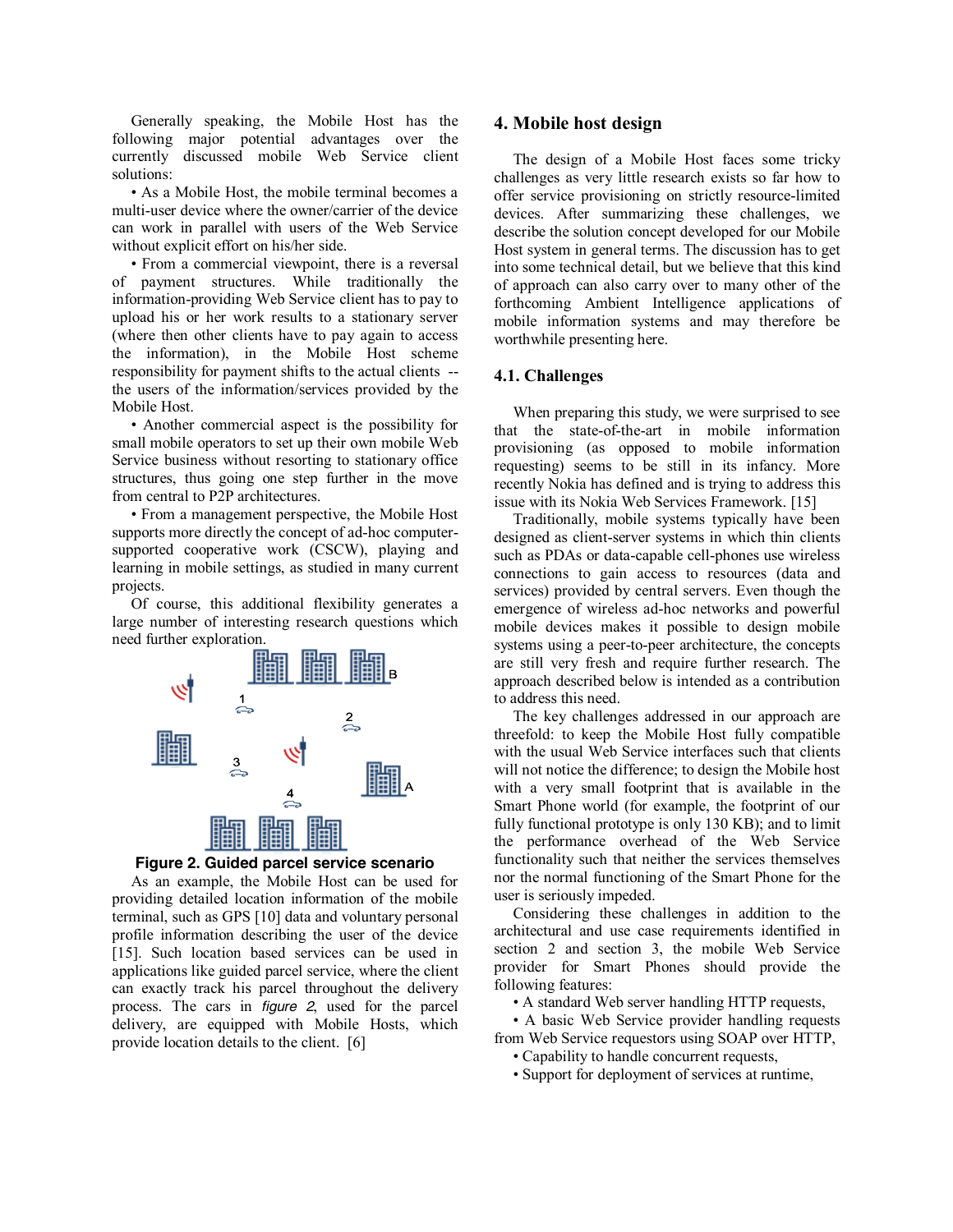Generally speaking, the Mobile Host has the following major potential advantages over the currently discussed mobile Web Service client solutions:

• As a Mobile Host, the mobile terminal becomes a multi-user device where the owner/carrier of the device can work in parallel with users of the Web Service without explicit effort on his/her side.

• From a commercial viewpoint, there is a reversal of payment structures. While traditionally the information-providing Web Service client has to pay to upload his or her work results to a stationary server (where then other clients have to pay again to access the information), in the Mobile Host scheme responsibility for payment shifts to the actual clients - the users of the information/services provided by the Mobile Host.

• Another commercial aspect is the possibility for small mobile operators to set up their own mobile Web Service business without resorting to stationary office structures, thus going one step further in the move from central to P2P architectures.

• From a management perspective, the Mobile Host supports more directly the concept of ad-hoc computersupported cooperative work (CSCW), playing and learning in mobile settings, as studied in many current projects.

Of course, this additional flexibility generates a large number of interesting research questions which need further exploration.



**Figure 2. Guided parcel service scenario** 

As an example, the Mobile Host can be used for providing detailed location information of the mobile terminal, such as GPS [10] data and voluntary personal profile information describing the user of the device [15]. Such location based services can be used in applications like guided parcel service, where the client can exactly track his parcel throughout the delivery process. The cars in *figure 2*, used for the parcel delivery, are equipped with Mobile Hosts, which provide location details to the client. [6]

### **4. Mobile host design**

The design of a Mobile Host faces some tricky challenges as very little research exists so far how to offer service provisioning on strictly resource-limited devices. After summarizing these challenges, we describe the solution concept developed for our Mobile Host system in general terms. The discussion has to get into some technical detail, but we believe that this kind of approach can also carry over to many other of the forthcoming Ambient Intelligence applications of mobile information systems and may therefore be worthwhile presenting here.

### **4.1. Challenges**

When preparing this study, we were surprised to see that the state-of-the-art in mobile information provisioning (as opposed to mobile information requesting) seems to be still in its infancy. More recently Nokia has defined and is trying to address this issue with its Nokia Web Services Framework. [15]

Traditionally, mobile systems typically have been designed as client-server systems in which thin clients such as PDAs or data-capable cell-phones use wireless connections to gain access to resources (data and services) provided by central servers. Even though the emergence of wireless ad-hoc networks and powerful mobile devices makes it possible to design mobile systems using a peer-to-peer architecture, the concepts are still very fresh and require further research. The approach described below is intended as a contribution to address this need.

The key challenges addressed in our approach are threefold: to keep the Mobile Host fully compatible with the usual Web Service interfaces such that clients will not notice the difference; to design the Mobile host with a very small footprint that is available in the Smart Phone world (for example, the footprint of our fully functional prototype is only 130 KB); and to limit the performance overhead of the Web Service functionality such that neither the services themselves nor the normal functioning of the Smart Phone for the user is seriously impeded.

Considering these challenges in addition to the architectural and use case requirements identified in section 2 and section 3, the mobile Web Service provider for Smart Phones should provide the following features:

• A standard Web server handling HTTP requests,

• A basic Web Service provider handling requests from Web Service requestors using SOAP over HTTP,

- Capability to handle concurrent requests.
- Support for deployment of services at runtime,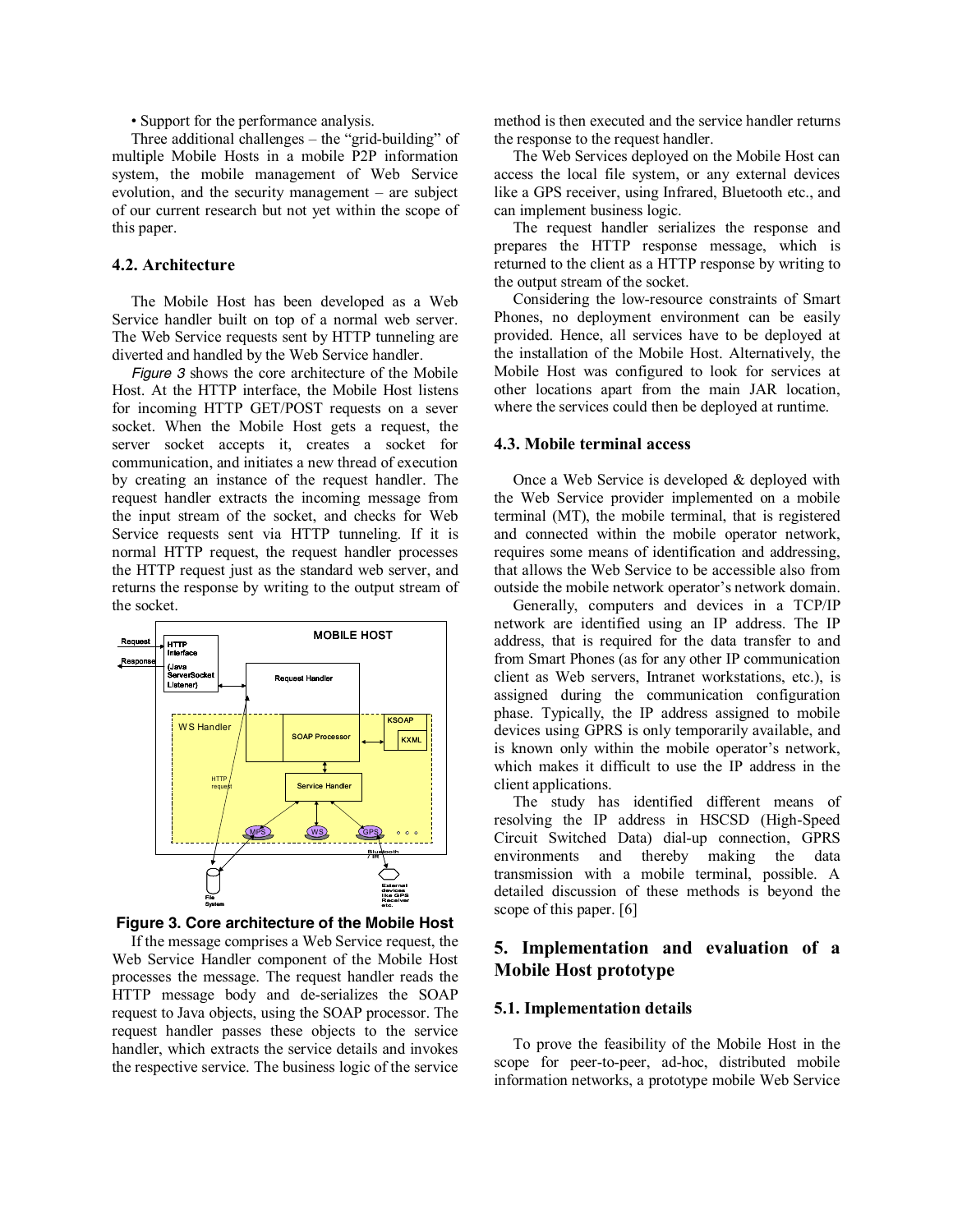• Support for the performance analysis.

Three additional challenges – the "grid-building" of multiple Mobile Hosts in a mobile P2P information system, the mobile management of Web Service evolution, and the security management – are subject of our current research but not yet within the scope of this paper.

## **4.2. Architecture**

The Mobile Host has been developed as a Web Service handler built on top of a normal web server. The Web Service requests sent by HTTP tunneling are diverted and handled by the Web Service handler.

*Figure 3* shows the core architecture of the Mobile Host. At the HTTP interface, the Mobile Host listens for incoming HTTP GET/POST requests on a sever socket. When the Mobile Host gets a request, the server socket accepts it, creates a socket for communication, and initiates a new thread of execution by creating an instance of the request handler. The request handler extracts the incoming message from the input stream of the socket, and checks for Web Service requests sent via HTTP tunneling. If it is normal HTTP request, the request handler processes the HTTP request just as the standard web server, and returns the response by writing to the output stream of the socket.



**Figure 3. Core architecture of the Mobile Host** 

If the message comprises a Web Service request, the Web Service Handler component of the Mobile Host processes the message. The request handler reads the HTTP message body and de-serializes the SOAP request to Java objects, using the SOAP processor. The request handler passes these objects to the service handler, which extracts the service details and invokes the respective service. The business logic of the service method is then executed and the service handler returns the response to the request handler.

The Web Services deployed on the Mobile Host can access the local file system, or any external devices like a GPS receiver, using Infrared, Bluetooth etc., and can implement business logic.

The request handler serializes the response and prepares the HTTP response message, which is returned to the client as a HTTP response by writing to the output stream of the socket.

Considering the low-resource constraints of Smart Phones, no deployment environment can be easily provided. Hence, all services have to be deployed at the installation of the Mobile Host. Alternatively, the Mobile Host was configured to look for services at other locations apart from the main JAR location, where the services could then be deployed at runtime.

#### **4.3. Mobile terminal access**

Once a Web Service is developed & deployed with the Web Service provider implemented on a mobile terminal (MT), the mobile terminal, that is registered and connected within the mobile operator network, requires some means of identification and addressing, that allows the Web Service to be accessible also from outside the mobile network operator's network domain.

Generally, computers and devices in a TCP/IP network are identified using an IP address. The IP address, that is required for the data transfer to and from Smart Phones (as for any other IP communication client as Web servers, Intranet workstations, etc.), is assigned during the communication configuration phase. Typically, the IP address assigned to mobile devices using GPRS is only temporarily available, and is known only within the mobile operator's network, which makes it difficult to use the IP address in the client applications.

The study has identified different means of resolving the IP address in HSCSD (High-Speed Circuit Switched Data) dial-up connection, GPRS environments and thereby making the data transmission with a mobile terminal, possible. A detailed discussion of these methods is beyond the scope of this paper. [6]

## **5. Implementation and evaluation of a Mobile Host prototype**

### **5.1. Implementation details**

To prove the feasibility of the Mobile Host in the scope for peer-to-peer, ad-hoc, distributed mobile information networks, a prototype mobile Web Service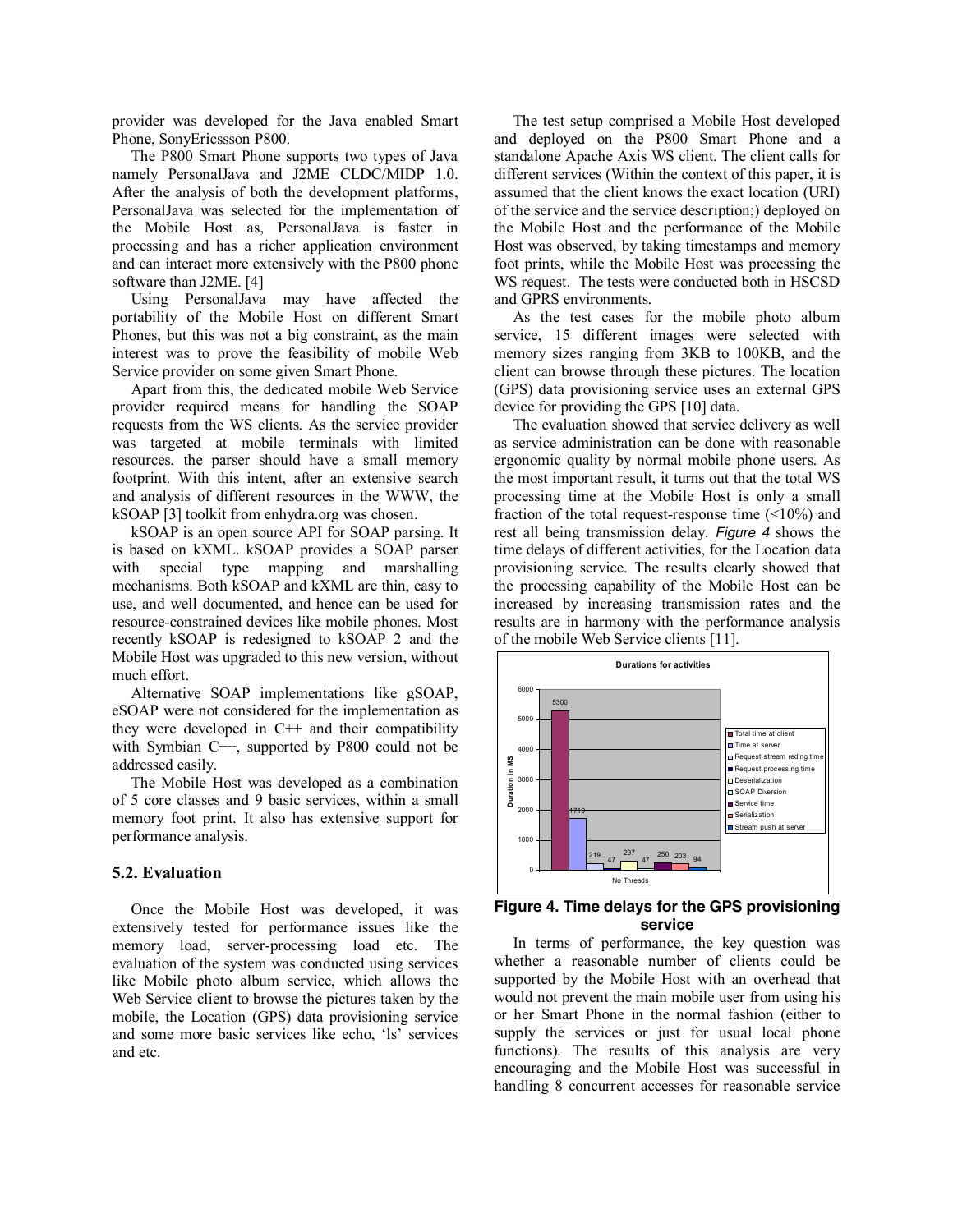provider was developed for the Java enabled Smart Phone, SonyEricssson P800.

The P800 Smart Phone supports two types of Java namely PersonalJava and J2ME CLDC/MIDP 1.0. After the analysis of both the development platforms, PersonalJava was selected for the implementation of the Mobile Host as, PersonalJava is faster in processing and has a richer application environment and can interact more extensively with the P800 phone software than J2ME. [4]

Using PersonalJava may have affected the portability of the Mobile Host on different Smart Phones, but this was not a big constraint, as the main interest was to prove the feasibility of mobile Web Service provider on some given Smart Phone.

Apart from this, the dedicated mobile Web Service provider required means for handling the SOAP requests from the WS clients. As the service provider was targeted at mobile terminals with limited resources, the parser should have a small memory footprint. With this intent, after an extensive search and analysis of different resources in the WWW, the kSOAP [3] toolkit from enhydra.org was chosen.

kSOAP is an open source API for SOAP parsing. It is based on kXML. kSOAP provides a SOAP parser with special type mapping and marshalling mechanisms. Both kSOAP and kXML are thin, easy to use, and well documented, and hence can be used for resource-constrained devices like mobile phones. Most recently kSOAP is redesigned to kSOAP 2 and the Mobile Host was upgraded to this new version, without much effort.

Alternative SOAP implementations like gSOAP, eSOAP were not considered for the implementation as they were developed in  $C^{++}$  and their compatibility with Symbian C++, supported by P800 could not be addressed easily.

The Mobile Host was developed as a combination of 5 core classes and 9 basic services, within a small memory foot print. It also has extensive support for performance analysis.

### **5.2. Evaluation**

Once the Mobile Host was developed, it was extensively tested for performance issues like the memory load, server-processing load etc. The evaluation of the system was conducted using services like Mobile photo album service, which allows the Web Service client to browse the pictures taken by the mobile, the Location (GPS) data provisioning service and some more basic services like echo, 'ls' services and etc.

The test setup comprised a Mobile Host developed and deployed on the P800 Smart Phone and a standalone Apache Axis WS client. The client calls for different services (Within the context of this paper, it is assumed that the client knows the exact location (URI) of the service and the service description;) deployed on the Mobile Host and the performance of the Mobile Host was observed, by taking timestamps and memory foot prints, while the Mobile Host was processing the WS request. The tests were conducted both in HSCSD and GPRS environments.

As the test cases for the mobile photo album service, 15 different images were selected with memory sizes ranging from 3KB to 100KB, and the client can browse through these pictures. The location (GPS) data provisioning service uses an external GPS device for providing the GPS [10] data.

The evaluation showed that service delivery as well as service administration can be done with reasonable ergonomic quality by normal mobile phone users. As the most important result, it turns out that the total WS processing time at the Mobile Host is only a small fraction of the total request-response time (<10%) and rest all being transmission delay. *Figure 4* shows the time delays of different activities, for the Location data provisioning service. The results clearly showed that the processing capability of the Mobile Host can be increased by increasing transmission rates and the results are in harmony with the performance analysis of the mobile Web Service clients [11].



**Figure 4. Time delays for the GPS provisioning service** 

In terms of performance, the key question was whether a reasonable number of clients could be supported by the Mobile Host with an overhead that would not prevent the main mobile user from using his or her Smart Phone in the normal fashion (either to supply the services or just for usual local phone functions). The results of this analysis are very encouraging and the Mobile Host was successful in handling 8 concurrent accesses for reasonable service